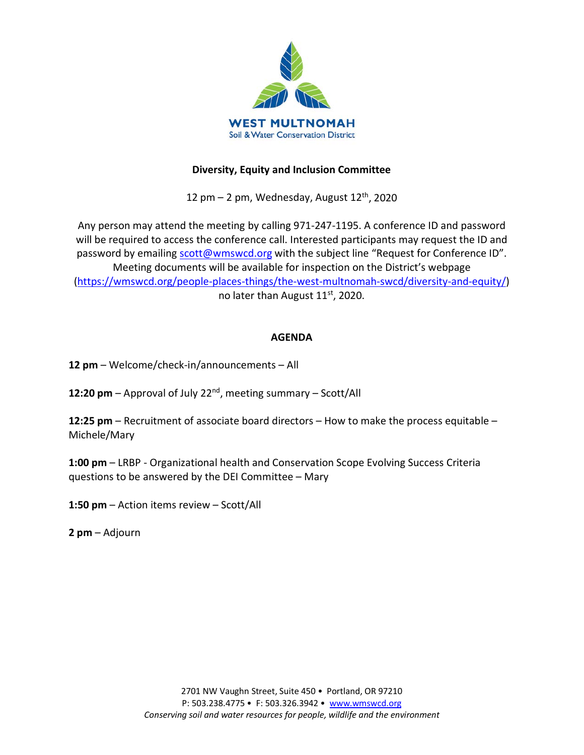

#### **Diversity, Equity and Inclusion Committee**

12 pm  $-$  2 pm, Wednesday, August 12<sup>th</sup>, 2020

Any person may attend the meeting by calling 971-247-1195. A conference ID and password will be required to access the conference call. Interested participants may request the ID and password by emailing [scott@wmswcd.org](mailto:scott@wmswcd.org) with the subject line "Request for Conference ID". Meeting documents will be available for inspection on the District's webpage [\(https://wmswcd.org/people-places-things/the-west-multnomah-swcd/diversity-and-equity/\)](https://wmswcd.org/people-places-things/the-west-multnomah-swcd/diversity-and-equity/) no later than August 11st, 2020.

#### **AGENDA**

**12 pm** – Welcome/check-in/announcements – All

**12:20 pm** – Approval of July 22nd, meeting summary – Scott/All

**12:25 pm** – Recruitment of associate board directors – How to make the process equitable – Michele/Mary

**1:00 pm** – LRBP - Organizational health and Conservation Scope Evolving Success Criteria questions to be answered by the DEI Committee – Mary

**1:50 pm** – Action items review – Scott/All

**2 pm** – Adjourn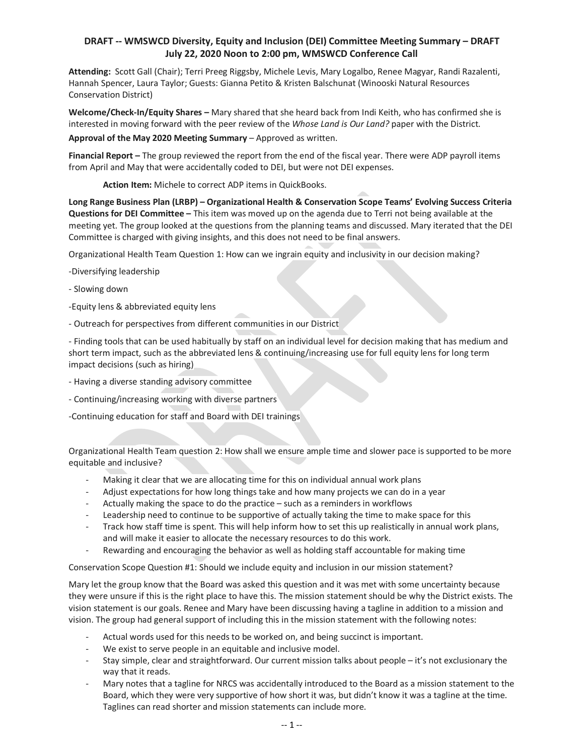#### **DRAFT -- WMSWCD Diversity, Equity and Inclusion (DEI) Committee Meeting Summary – DRAFT July 22, 2020 Noon to 2:00 pm, WMSWCD Conference Call**

**Attending:** Scott Gall (Chair); Terri Preeg Riggsby, Michele Levis, Mary Logalbo, Renee Magyar, Randi Razalenti, Hannah Spencer, Laura Taylor; Guests: Gianna Petito & Kristen Balschunat (Winooski Natural Resources Conservation District)

**Welcome/Check-In/Equity Shares –** Mary shared that she heard back from Indi Keith, who has confirmed she is interested in moving forward with the peer review of the *Whose Land is Our Land?* paper with the District.

**Approval of the May 2020 Meeting Summary** – Approved as written.

**Financial Report –** The group reviewed the report from the end of the fiscal year. There were ADP payroll items from April and May that were accidentally coded to DEI, but were not DEI expenses.

**Action Item:** Michele to correct ADP items in QuickBooks.

**Long Range Business Plan (LRBP) – Organizational Health & Conservation Scope Teams' Evolving Success Criteria Questions for DEI Committee –** This item was moved up on the agenda due to Terri not being available at the meeting yet. The group looked at the questions from the planning teams and discussed. Mary iterated that the DEI Committee is charged with giving insights, and this does not need to be final answers.

Organizational Health Team Question 1: How can we ingrain equity and inclusivity in our decision making?

-Diversifying leadership

- Slowing down

-Equity lens & abbreviated equity lens

- Outreach for perspectives from different communities in our District

- Finding tools that can be used habitually by staff on an individual level for decision making that has medium and short term impact, such as the abbreviated lens & continuing/increasing use for full equity lens for long term impact decisions (such as hiring)

- Having a diverse standing advisory committee
- Continuing/increasing working with diverse partners

-Continuing education for staff and Board with DEI trainings

Organizational Health Team question 2: How shall we ensure ample time and slower pace is supported to be more equitable and inclusive?

- Making it clear that we are allocating time for this on individual annual work plans
- Adjust expectations for how long things take and how many projects we can do in a year
- Actually making the space to do the practice such as a reminders in workflows
- Leadership need to continue to be supportive of actually taking the time to make space for this
- Track how staff time is spent. This will help inform how to set this up realistically in annual work plans, and will make it easier to allocate the necessary resources to do this work.
- Rewarding and encouraging the behavior as well as holding staff accountable for making time

Conservation Scope Question #1: Should we include equity and inclusion in our mission statement?

Mary let the group know that the Board was asked this question and it was met with some uncertainty because they were unsure if this is the right place to have this. The mission statement should be why the District exists. The vision statement is our goals. Renee and Mary have been discussing having a tagline in addition to a mission and vision. The group had general support of including this in the mission statement with the following notes:

- Actual words used for this needs to be worked on, and being succinct is important.
- We exist to serve people in an equitable and inclusive model.
- Stay simple, clear and straightforward. Our current mission talks about people it's not exclusionary the way that it reads.
- Mary notes that a tagline for NRCS was accidentally introduced to the Board as a mission statement to the Board, which they were very supportive of how short it was, but didn't know it was a tagline at the time. Taglines can read shorter and mission statements can include more.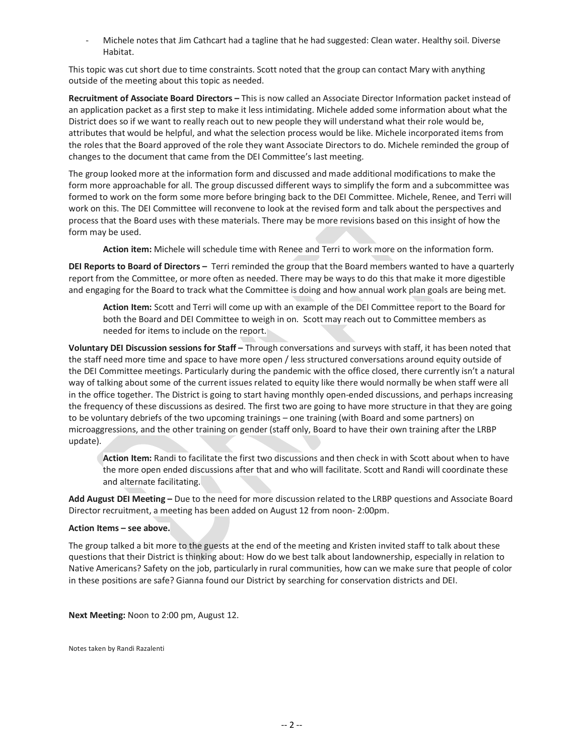Michele notes that Jim Cathcart had a tagline that he had suggested: Clean water. Healthy soil. Diverse Habitat.

This topic was cut short due to time constraints. Scott noted that the group can contact Mary with anything outside of the meeting about this topic as needed.

**Recruitment of Associate Board Directors –** This is now called an Associate Director Information packet instead of an application packet as a first step to make it less intimidating. Michele added some information about what the District does so if we want to really reach out to new people they will understand what their role would be, attributes that would be helpful, and what the selection process would be like. Michele incorporated items from the roles that the Board approved of the role they want Associate Directors to do. Michele reminded the group of changes to the document that came from the DEI Committee's last meeting.

The group looked more at the information form and discussed and made additional modifications to make the form more approachable for all. The group discussed different ways to simplify the form and a subcommittee was formed to work on the form some more before bringing back to the DEI Committee. Michele, Renee, and Terri will work on this. The DEI Committee will reconvene to look at the revised form and talk about the perspectives and process that the Board uses with these materials. There may be more revisions based on this insight of how the form may be used.

**Action item:** Michele will schedule time with Renee and Terri to work more on the information form.

**DEI Reports to Board of Directors –** Terri reminded the group that the Board members wanted to have a quarterly report from the Committee, or more often as needed. There may be ways to do this that make it more digestible and engaging for the Board to track what the Committee is doing and how annual work plan goals are being met.

**Action Item:** Scott and Terri will come up with an example of the DEI Committee report to the Board for both the Board and DEI Committee to weigh in on. Scott may reach out to Committee members as needed for items to include on the report.

**Voluntary DEI Discussion sessions for Staff –** Through conversations and surveys with staff, it has been noted that the staff need more time and space to have more open / less structured conversations around equity outside of the DEI Committee meetings. Particularly during the pandemic with the office closed, there currently isn't a natural way of talking about some of the current issues related to equity like there would normally be when staff were all in the office together. The District is going to start having monthly open-ended discussions, and perhaps increasing the frequency of these discussions as desired. The first two are going to have more structure in that they are going to be voluntary debriefs of the two upcoming trainings – one training (with Board and some partners) on microaggressions, and the other training on gender (staff only, Board to have their own training after the LRBP update).

**Action Item:** Randi to facilitate the first two discussions and then check in with Scott about when to have the more open ended discussions after that and who will facilitate. Scott and Randi will coordinate these and alternate facilitating.

**Add August DEI Meeting –** Due to the need for more discussion related to the LRBP questions and Associate Board Director recruitment, a meeting has been added on August 12 from noon- 2:00pm.

#### **Action Items – see above.**

The group talked a bit more to the guests at the end of the meeting and Kristen invited staff to talk about these questions that their District is thinking about: How do we best talk about landownership, especially in relation to Native Americans? Safety on the job, particularly in rural communities, how can we make sure that people of color in these positions are safe? Gianna found our District by searching for conservation districts and DEI.

**Next Meeting:** Noon to 2:00 pm, August 12.

Notes taken by Randi Razalenti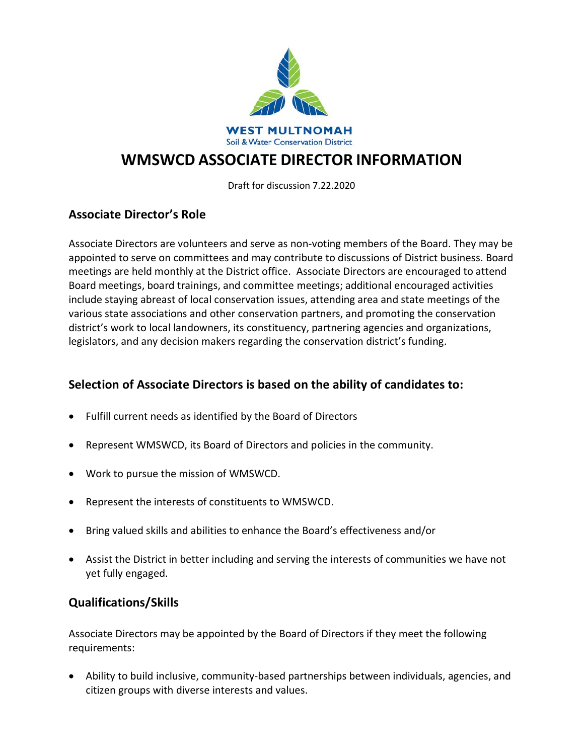

# **WMSWCD ASSOCIATE DIRECTOR INFORMATION**

Draft for discussion 7.22.2020

## **Associate Director's Role**

Associate Directors are volunteers and serve as non-voting members of the Board. They may be appointed to serve on committees and may contribute to discussions of District business. Board meetings are held monthly at the District office. Associate Directors are encouraged to attend Board meetings, board trainings, and committee meetings; additional encouraged activities include staying abreast of local conservation issues, attending area and state meetings of the various state associations and other conservation partners, and promoting the conservation district's work to local landowners, its constituency, partnering agencies and organizations, legislators, and any decision makers regarding the conservation district's funding.

## **Selection of Associate Directors is based on the ability of candidates to:**

- Fulfill current needs as identified by the Board of Directors
- Represent WMSWCD, its Board of Directors and policies in the community.
- Work to pursue the mission of WMSWCD.
- Represent the interests of constituents to WMSWCD.
- Bring valued skills and abilities to enhance the Board's effectiveness and/or
- Assist the District in better including and serving the interests of communities we have not yet fully engaged.

#### **Qualifications/Skills**

Associate Directors may be appointed by the Board of Directors if they meet the following requirements:

• Ability to build inclusive, community-based partnerships between individuals, agencies, and citizen groups with diverse interests and values.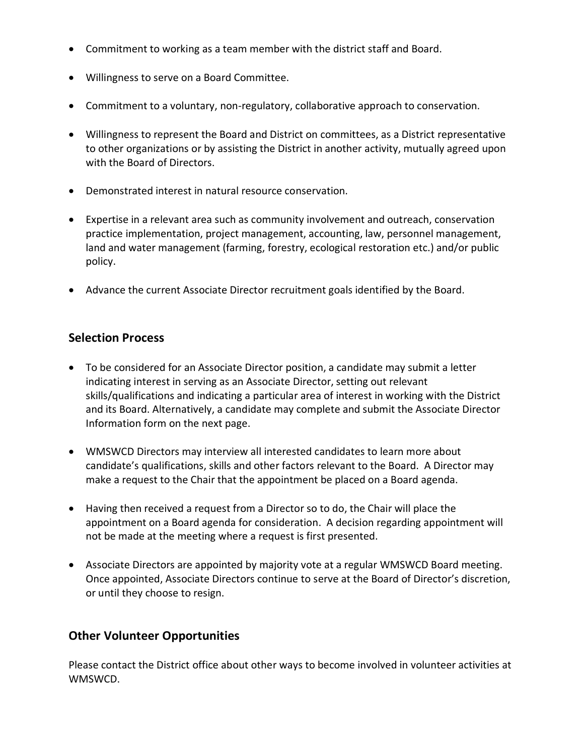- Commitment to working as a team member with the district staff and Board.
- Willingness to serve on a Board Committee.
- Commitment to a voluntary, non-regulatory, collaborative approach to conservation.
- Willingness to represent the Board and District on committees, as a District representative to other organizations or by assisting the District in another activity, mutually agreed upon with the Board of Directors.
- Demonstrated interest in natural resource conservation.
- Expertise in a relevant area such as community involvement and outreach, conservation practice implementation, project management, accounting, law, personnel management, land and water management (farming, forestry, ecological restoration etc.) and/or public policy.
- Advance the current Associate Director recruitment goals identified by the Board.

### **Selection Process**

- To be considered for an Associate Director position, a candidate may submit a letter indicating interest in serving as an Associate Director, setting out relevant skills/qualifications and indicating a particular area of interest in working with the District and its Board. Alternatively, a candidate may complete and submit the Associate Director Information form on the next page.
- WMSWCD Directors may interview all interested candidates to learn more about candidate's qualifications, skills and other factors relevant to the Board. A Director may make a request to the Chair that the appointment be placed on a Board agenda.
- Having then received a request from a Director so to do, the Chair will place the appointment on a Board agenda for consideration. A decision regarding appointment will not be made at the meeting where a request is first presented.
- Associate Directors are appointed by majority vote at a regular WMSWCD Board meeting. Once appointed, Associate Directors continue to serve at the Board of Director's discretion, or until they choose to resign.

#### **Other Volunteer Opportunities**

Please contact the District office about other ways to become involved in volunteer activities at WMSWCD.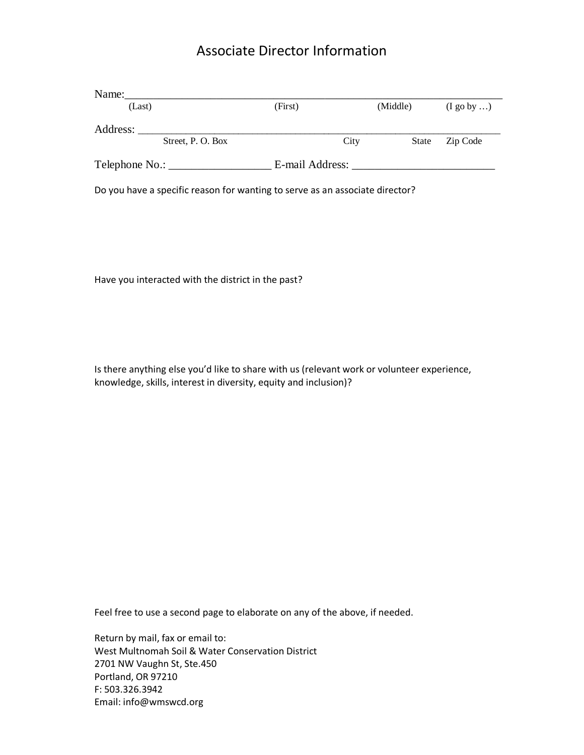# Associate Director Information

| Name:              |                  |                 |      |              |                       |
|--------------------|------------------|-----------------|------|--------------|-----------------------|
| (Last)             |                  | (First)         |      | (Middle)     | $(I \text{ go by } )$ |
| Address:           |                  |                 |      |              |                       |
|                    | Street, P.O. Box |                 | City | <b>State</b> | Zip Code              |
| Telephone No.: ___ |                  | E-mail Address: |      |              |                       |

Do you have a specific reason for wanting to serve as an associate director?

Have you interacted with the district in the past?

Is there anything else you'd like to share with us (relevant work or volunteer experience, knowledge, skills, interest in diversity, equity and inclusion)?

Feel free to use a second page to elaborate on any of the above, if needed.

Return by mail, fax or email to: West Multnomah Soil & Water Conservation District 2701 NW Vaughn St, Ste.450 Portland, OR 97210 F: 503.326.3942 Email: info@wmswcd.org